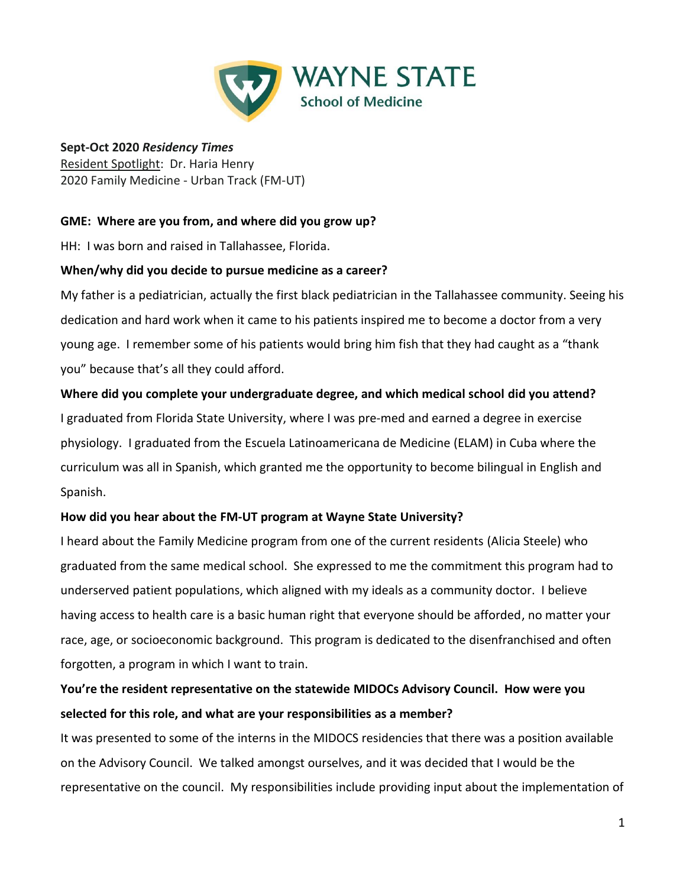

#### **Sept-Oct 2020** *Residency Times* Resident Spotlight: Dr. Haria Henry 2020 Family Medicine - Urban Track (FM-UT)

## **GME: Where are you from, and where did you grow up?**

HH: I was born and raised in Tallahassee, Florida.

#### **When/why did you decide to pursue medicine as a career?**

My father is a pediatrician, actually the first black pediatrician in the Tallahassee community. Seeing his dedication and hard work when it came to his patients inspired me to become a doctor from a very young age. I remember some of his patients would bring him fish that they had caught as a "thank you" because that's all they could afford.

#### **Where did you complete your undergraduate degree, and which medical school did you attend?**

I graduated from Florida State University, where I was pre-med and earned a degree in exercise physiology. I graduated from the Escuela Latinoamericana de Medicine (ELAM) in Cuba where the curriculum was all in Spanish, which granted me the opportunity to become bilingual in English and Spanish.

## **How did you hear about the FM-UT program at Wayne State University?**

I heard about the Family Medicine program from one of the current residents (Alicia Steele) who graduated from the same medical school. She expressed to me the commitment this program had to underserved patient populations, which aligned with my ideals as a community doctor. I believe having access to health care is a basic human right that everyone should be afforded, no matter your race, age, or socioeconomic background. This program is dedicated to the disenfranchised and often forgotten, a program in which I want to train.

## **You're the resident representative on the statewide MIDOCs Advisory Council. How were you selected for this role, and what are your responsibilities as a member?**

It was presented to some of the interns in the MIDOCS residencies that there was a position available on the Advisory Council. We talked amongst ourselves, and it was decided that I would be the representative on the council. My responsibilities include providing input about the implementation of